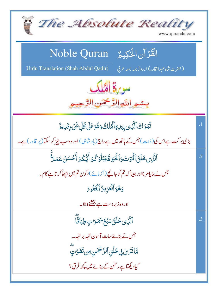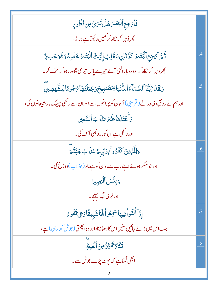| فَأَتْ جِع ٱلْبَصَرَ هَلْ تَرَىٰ مِن فُطُورٍ                                                             |                 |
|----------------------------------------------------------------------------------------------------------|-----------------|
| پھر ڈ ہر اکر نگاہ کر کہیں دیکھتا ہے دراڑ،                                                                |                 |
| ثُمَّ ٱءۡجِعٱلۡبَـصَدَ كَرَّتَيۡنِ يَنقَلِبُۚ إِلَيۡكَ ٱلۡبَصَدُ خَاسِئًا وَهُوَ حَسِبِيٌّ               |                 |
| چر د ہر اکر نگاہ کر، دو دوباراُلٹی آئے تیرے پاس تیر <mark>ی نگاہ رد ہو کر تھک کر۔</mark>                 |                 |
| <u>و</u> َلَقَدُنَ يَّتَأَالَسَّمَآءَ ٱلدُّنۡيَآ <i>بِمَصَدِ</i> يحَوَجَعَلۡنَمَآءُ جُومَالِّلشَّيۡطِينِ | $\overline{.5}$ |
| اور ہم نے رونق دی در لے ( قریبی ) آسان کو چراغوں سے اور ان سے رکھی بچینک مار شیطانوں کی،                 |                 |
| وَأَعْتَدُنَا لَهُمْ عَذَابَ ٱلسَّعِيرِ                                                                  |                 |
| اور ر <sup>کھی</sup> ہے ان کومار دیکتی آگ کی۔                                                            |                 |
| وَلِلَّذِينَ كَفَرُواۡبِرَبِّہِـمۡ عَذَابُ جَهَنَّمَ                                                     | .6              |
| اور جومنګر ہوئے اپنے رب سے،ان کو ہے مار (عذ اب) دوزخ کی۔                                                 |                 |
| وَبِئْسَ ٱلْمَصِيرُ                                                                                      |                 |
| اور بُر کی جگہ <u>پہنچ</u> ۔                                                                             |                 |
| إِذَآ أَلۡقُواۡ فِيهَاسَمِعُواۡكَمَاشَهِيقَاوَهِىَ تَفُوِىُ                                              | $\overline{.7}$ |
| جب اس میں ڈالے جائیں سُنیں اس کا دھاڑ نا،اور وہ انچھلتی (جوش کھار ہی) ہے،                                |                 |
| تَكَادُ تَمَيَّزُ مِنَ ٱلْغَنْظِ                                                                         | .8              |
| ابھی لگتاہے کہ پھٹ پڑے جوش سے۔                                                                           |                 |
|                                                                                                          |                 |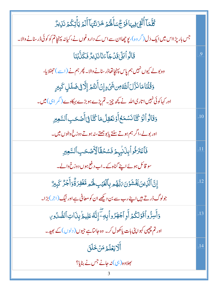| ڴؘڵٙڡؘٵۧٲ۠ڷۊ <sub>ۣػ</sub> ڣۣۑ <sub>ٙٵ</sub> ڣؘٷڿۨ۠ڛٙٲؘۿ <i>ڰ</i> ۄ۫ڂؘۯؘٮٚؿ۠ؠؘٵۧٲۘڶۄ۫ؾٲؚ۫ؾؚػ۠ۄؙٮؘؘڹؠڗ۠ |           |
|--------------------------------------------------------------------------------------------------------|-----------|
| جس بار پڑ ااس میں ایک دَل ( گر وہ )، یو چھاان سے اس کے داروغوں نے ،کیانہ پہنچاتم کو کوئی ڈرسنانے والا۔ |           |
| قَالُواۡبَلَىٰقَدۡجَآءَنَانَنِيرُّ فَكَذَّبۡنَا                                                        | $\cdot$ 9 |
| وہ بولے کیوں نہیں ہم پاس پہنچاتھاڈر سنانے والا۔ پھر ہم نے (اسے )حجٹلایا،                               |           |
| وَقُلۡنَامَانَزَّلَالَالَهُ مِن شَىۡۦۚ إِنۡ أَنتُمۡ إِلَّا فِى ضَلَلٍ كَبِيرٍ                          |           |
| اور کہاکوئی نہیں اتاری اللہ نے پچھ چیز۔ تم پڑے ہوبڑے بہکاوے (گمر ابھ) میں۔                             |           |
| وَقَالُواْلَوۡ كُنَّانَسۡمَعُ أَوۡنَعَقِلُمَا كُنَّافِىٓأَصۡحَبِٱلسَّعِيرِ                             | .10       |
| اور بولے،اگر ہم ہوتے سنتے پابوجھتے،نہ ہوتے دوزخ والوں میں۔                                             |           |
| فَأَعۡتَرَفُواۡلِذَانِبِهِمۡ فَسُحۡقَّالۡآَٰصَٰحَبِٱلسَّٰٓعِيْدِ                                       | .11       |
| سو قائل ہوئے اپنے گناہ کے۔اب دفع ہوں دوزخ والے۔                                                        |           |
| إِنَّ ٱلَّذِينَ يَخۡشَوۡنَ مَٰلَّهُمۡ بِٱلۡغَيۡبِ لَهُمۡ مَّغۡفِرَةٌۚوَأَجۡرٌ كَبِيرٌ                  | .12       |
| جولوگ ڈرتے ہیں اپنے رب سے بن دیکھے ان کو معافی ہے اور نیگ (اجر) بڑا۔                                   |           |
| وَأَسِرُّواْقَوۡلَكُمۡ أَوِٱجۡهَزُواۡبِهِۦۖۢۤ إِنَّهُ عَلِيمُ بِنَاتِٱلصُّدُورِ                        | .13       |
| اور تم چچپی کہوا پنی بات یا کھول کر۔ وہ جانتاہے جیوں( دلوں)کے بھید۔                                    |           |
| ِ<br>اَلَّايَعۡلَمُ مَنۡ خَلَقَ                                                                        | .14       |
| بھلاوہ( <sub>ن</sub> ی)نہ جانے جس نے بنایا؟                                                            |           |
| 3                                                                                                      |           |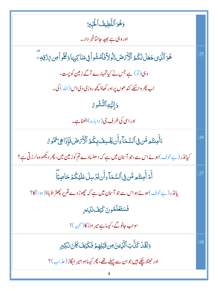| وَهُوَ ٱللَّطِيفُ ٱلْخَيِّبِينُ                                                           |     |
|-------------------------------------------------------------------------------------------|-----|
| اور وہی ہے بھید جانتاخبر دار۔                                                             |     |
| ۿؙۅؘٱڷؘۜڹ؈ڿؘؗۼؘڶڶػ۠ؽ۠ۥٱڷۯۢٚؠٛٙڞؘۥؘ۬ڷۅڶٲۜڣؘڷۺۄٲڣۣ؋ڹؘٳڮۑۣؠؘٳۏػ۠ڵۅٲڝ؆ۣۯ۫قۣڢؚؖ                | .15 |
| وہی(تو) ہے جس نے کیاتمہارے آگے زمین کو پست،                                               |     |
| اب پھر واسکے کند ھوں پر اور کھاؤ کچھ روزی دی اس (اللہ ) کی۔                               |     |
| <b>وَإِلَيۡهِٱلنُّشُو ۚ</b> نَ                                                            |     |
| اور اسی کی طرف جی( دوبارہ )اٹھناہے۔                                                       |     |
| ءَأَمِنتُم مَّن فِى ٱلسَّمَاءِأَن يَخْسِفَ بِكُمُ ٱلْأَرَضَ فَإِذَا هِيَ تَمُو مُ         | .16 |
| کیانڈر (بے خوف)ہوئے اس سے،جو آسان میں ہے کہ دھنسادے تم کوز مین میں، پھر دیکھووہ لرزقی ہے؟ |     |
| أَمَّ أَمِنتُم مَّن فِى ٱلسَّمَآءِأَن يُرۡسِلَ عَلَيۡكُمۡ حَاصِبَآ                        | .17 |
| یانڈر (بے خوف)ہوئے ہواں سے جو آسان میں ہے کہ چھوڑ دے تم پر پھتر اؤباؤ(ہوا) کا؟            |     |
| فَسَتَعَلَّمُونَ كَيْفَ نَلِيدِ                                                           |     |
| سواب جانوگے، کیسا ہے میر ادڑ کا(تنبیہ)!                                                   |     |
| <u>و</u> َلَقَدۡ كَذَّبَٱلَّٰزِينَ؋ِن <b>ۚ قَبَٰلِهِ</b> مۡ فَكَيۡفَ كَانَ نَكِبِرِ       | .18 |
| اور جھٹلاچکے ہیں جوان سے پہلے تھے، پھر کیساہوامیر ابگاڑ (عذاب)؟                           |     |
|                                                                                           |     |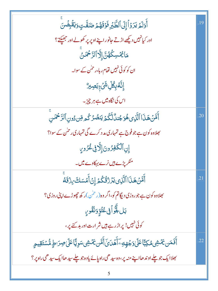| ٲۧۅ <i>ٙ</i> ڶۮؚؾۯۏۛٲٳ۪ڶ۩ڶڟؖڹ <sub>ٛ</sub> ڔڡؘۏؘۊؘۿؽ؏ػڟ۠ؾٟۅؘؾڨؘۛؠؚۻؙڹؖ                                                | .19 |
|-----------------------------------------------------------------------------------------------------------------------|-----|
| اور کیانہیں دیکھے اڑتے جانور اپنے اوپر پر کھولے اور جھیکتے؟                                                           |     |
| <i>ؗ</i> ۜ؞ٙٲڲ <i>ػڛ</i> ػ۠ۿ۠ڽٞٳؚٳؖٚٲڶڗٙڂ <i>ۧڡؘۮ</i> ۣۨ                                                              |     |
| ان کو کوئی نہیں تھام رہا،رحمٰن کے سوا۔                                                                                |     |
| ٳۣڹؓڡ۠ڹؚڰ۠ڵؚۺؘ۬ٛۦؚٙڹڝؚێ                                                                                               |     |
| اس کی نگاہ میں ہے ہر چیز۔                                                                                             |     |
| أَقَنَ هَذَا ٱلَّذِى هُوَجُندٌ لَّكُمۡ يَنصُرُ كُم مِّن دُونِ ٱلرَّحۡمَٰنِ                                            | .20 |
| بھلاوہ کون ہے جو فوج ہے تمہاری م <i>د</i> د کرے گی تمہاری رحمٰن کے سوا؟                                               |     |
| إِنِ ٱلْكَفِرُونَ إِلَّا فِى غُرُورٍ                                                                                  |     |
| منکر پڑے ہیں نرے بہکاوے میں۔                                                                                          |     |
| ٲٛڡۜٙ <i>ڽٙ</i> ۿؘڹؘٳٳٳڷۯؚۑؾۯۯۊ۠ػؙػؽٳؚڹٲؘٛڡٙۺڬ؆ۣۯؘۊؘ <sup>ۣ</sup> ڡۨ                                                  | .21 |
| بھلاوہ کون ہے جو روزی دیگاتم کو،اگر وہ (ر <sup>حمٰ</sup> ن )ر ک <i>ھ چھوڑے ا</i> پنی روزی؟                            |     |
| بَل+ۜۊ۠ۘٳؙٙڣۣ۬عُتُّوِّوَنُفُّوِي                                                                                      |     |
| کوئی نہیں! پراڑ رہے ہیں شر ارت اور بد کئے پر،                                                                         |     |
| ٲٛڣؘڡٙڹ <i>ؿٙػٙ</i> ۺۣ۬ۿڮڹؖٞٲڠٙڶؽ <i>ۏڿ۫</i> ۿٟڡؘؚٵۧٞۿٙڷؽٙٲٞڡ۠ۜۧڹ <i>ؿػٙ</i> ۺ۫ؾڛۅۣؾؓٲڠڶ <i>ؽٳڝؚ</i> ڗٮڟٟۣڡ۠۠ۺؾٙۊؚۑۄؚ | .22 |
| بھلاایک جو چلے اوندھااپنے منہ پر،وہ سیدھی راہ پائے یاوہ جو چلے سیدھاایک سیدھی راہ پر؟                                 |     |
|                                                                                                                       |     |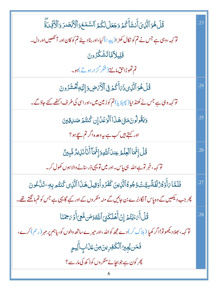| قُلۡ هُوَ ٱلَّذِىٓ أَنشَأَ كُمۡ وَجَعَلَ لَكُمُ ٱلسَّمۡعَ وَٱلۡ ۚ ٱلۡقَصَدَ وَٱلۡ ُئِمِّىٓ ۚ                       | .23 |
|--------------------------------------------------------------------------------------------------------------------|-----|
| تو <sub>کہہ</sub> ،وہی ہے جس نے تم کو نکال کھڑ ا(پیدا) کیا،اور بنادیئے تم کو کان اور آنکھیں اور دل۔                |     |
| قَلِيلاًمَّاتَشَكْرُونَ                                                                                            |     |
| <mark>تم تھوڑاحق مانتے (شکر گزار ہوتے)ہو۔</mark>                                                                   |     |
| قُلُ هُوَ ٱلَّذِى ذَمَاَ أَكُمۡ فِى ٱلۡأَمۡ ضِ وَإِلَيۡهِ ثُمَّشۡ رُونَ                                            | .24 |
| تو <sub>کہہ</sub> وہی ہے جس نے کھنڈ ایا(پھیلایا) تم کو زمین میں،اور اسی کی طرف اکٹھے کئے جاؤگے۔                    |     |
| وَيَقُولُونَ مَتَىٰ هَذَا ٱلْوَعۡلَٰ إِن كُنتُمۡ صَلاِقِينَ                                                        | .25 |
| اور کہتے ہیں کب ہے یہ وعد ہ اگر تم س <u>بح</u> ہو ؟                                                                |     |
| قُلۡ إِنَّمَا ٱلۡفِلۡمُ عِندَ ٱللَّهِوَإِنَّمَاۤ أَنَاۚ نَذِيرٌ مُّبِينٌ                                           | .26 |
| تو <sub>کہہ</sub> ، خبر تو ہے اللہ   ہی پاس۔ اور میں تو یہی ڈر سنانے والا ہوں کھول کر۔                             |     |
| فَلَمَّا بَأَوۡ وُرُلۡفَةًسِيَّـۡتُوۡجُوهُۚ ٱلَّذِينَ كَفَرُواۡوَقِيلَ هَذَا ٱلَّذِى كُنتُم بِهِۦ تَدَّعُونَ       | .27 |
| چر جب دیکھیں گے وہ پاس آلگا،بُرے بن جائیں گے منہ منکر وں کے اور کہے گا یہی ہے جس کو تم ما نگتے تھے۔                |     |
| قُلۡ أَٰٓ مَيۡتُمۡ إِنۡ أَهۡلَكَنِىٓ ٱللَّهُ وَمَن مَّعِىٓ أَوۡ مَحۡمَنَا                                          | .28 |
| تو <sub>کہہ</sub> ، بھلادیکھو تو!اگر کھیا ( ہلاک کر ) دے مجھ کواللہ ،اور میرےساتھ والوں کو، یاہم پر مہر (رحم) کرے، |     |
| فَمَن يُجِيرُ ٱلْكَفِرِينَ مِنۡ عَذَابِ أَلِيمٍ                                                                    |     |
| پھر کون ہے جو بجائے منکر وں کو ڈکھ کی مار سے ؟                                                                     |     |
|                                                                                                                    |     |